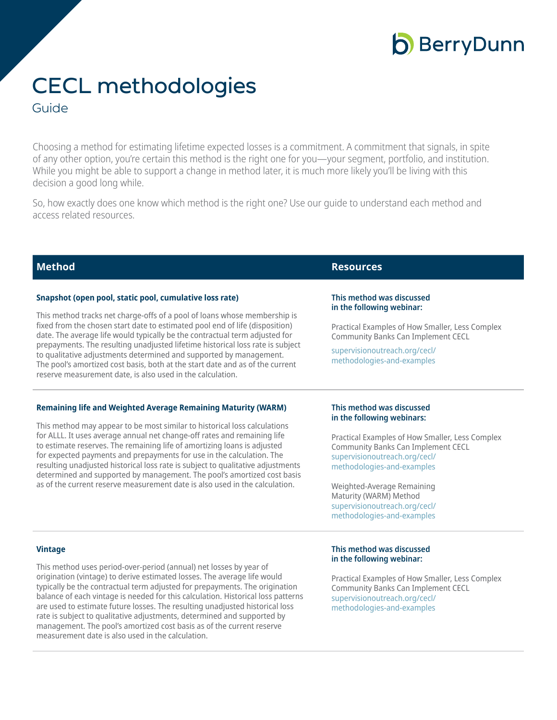## **b** BerryDunn

# CECL methodologies

### Guide

Choosing a method for estimating lifetime expected losses is a commitment. A commitment that signals, in spite of any other option, you're certain this method is the right one for you—your segment, portfolio, and institution. While you might be able to support a change in method later, it is much more likely you'll be living with this decision a good long while.

So, how exactly does one know which method is the right one? Use our guide to understand each method and access related resources.

| <b>Method</b>                                                                                                                                                                                                                                                                                                                                                                                                                                                                                                                                                                                                                   | <b>Resources</b>                                                                                                                                                                                                                                                                                                                              |
|---------------------------------------------------------------------------------------------------------------------------------------------------------------------------------------------------------------------------------------------------------------------------------------------------------------------------------------------------------------------------------------------------------------------------------------------------------------------------------------------------------------------------------------------------------------------------------------------------------------------------------|-----------------------------------------------------------------------------------------------------------------------------------------------------------------------------------------------------------------------------------------------------------------------------------------------------------------------------------------------|
| Snapshot (open pool, static pool, cumulative loss rate)<br>This method tracks net charge-offs of a pool of loans whose membership is<br>fixed from the chosen start date to estimated pool end of life (disposition)<br>date. The average life would typically be the contractual term adjusted for<br>prepayments. The resulting unadjusted lifetime historical loss rate is subject<br>to qualitative adjustments determined and supported by management.<br>The pool's amortized cost basis, both at the start date and as of the current<br>reserve measurement date, is also used in the calculation.                      | This method was discussed<br>in the following webinar:<br>Practical Examples of How Smaller, Less Complex<br><b>Community Banks Can Implement CECL</b><br>supervisionoutreach.org/cecl/<br>methodologies-and-examples                                                                                                                         |
| <b>Remaining life and Weighted Average Remaining Maturity (WARM)</b><br>This method may appear to be most similar to historical loss calculations<br>for ALLL. It uses average annual net change-off rates and remaining life<br>to estimate reserves. The remaining life of amortizing loans is adjusted<br>for expected payments and prepayments for use in the calculation. The<br>resulting unadjusted historical loss rate is subject to qualitative adjustments<br>determined and supported by management. The pool's amortized cost basis<br>as of the current reserve measurement date is also used in the calculation. | This method was discussed<br>in the following webinars:<br>Practical Examples of How Smaller, Less Complex<br><b>Community Banks Can Implement CECL</b><br>supervisionoutreach.org/cecl/<br>methodologies-and-examples<br>Weighted-Average Remaining<br>Maturity (WARM) Method<br>supervisionoutreach.org/cecl/<br>methodologies-and-examples |
| <b>Vintage</b><br>This method uses period-over-period (annual) net losses by year of<br>origination (vintage) to derive estimated losses. The average life would                                                                                                                                                                                                                                                                                                                                                                                                                                                                | This method was discussed<br>in the following webinar:<br>Practical Examples of How Smaller, Less Complex                                                                                                                                                                                                                                     |

typically be the contractual term adjusted for prepayments. The origination balance of each vintage is needed for this calculation. Historical loss patterns are used to estimate future losses. The resulting unadjusted historical loss rate is subject to qualitative adjustments, determined and supported by management. The pool's amortized cost basis as of the current reserve measurement date is also used in the calculation.

Practical Examples of How Smaller, Less Complex Community Banks Can Implement CECL [supervisionoutreach.org/cecl/](https://www.supervisionoutreach.org/cecl/methodologies-and-examples) [methodologies-and-examples](https://www.supervisionoutreach.org/cecl/methodologies-and-examples)